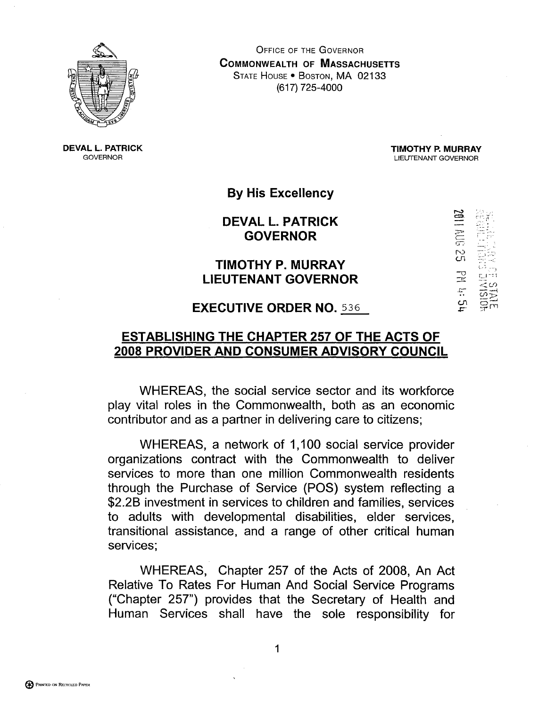

**OFFICE OF THE GOVERNOR COMMONWEALTH OF MASSACHUSETTS** STATE HOUSE . BOSTON, MA 02133 (617) 725-4000

**DEVAL L. PATRICK GOVERNOR** 

**TIMOTHY P. MURRAY** LIEUTENANT GOVERNOR

 $\mathbb{R}^2$ 

**By His Excellency** 

**DEVAL L. PATRICK GOVERNOR** 

## TIMOTHY P. MURRAY **LIEUTENANT GOVERNOR**

## **EXECUTIVE ORDER NO. 536**

## **ESTABLISHING THE CHAPTER 257 OF THE ACTS OF** 2008 PROVIDER AND CONSUMER ADVISORY COUNCIL

WHEREAS, the social service sector and its workforce play vital roles in the Commonwealth, both as an economic contributor and as a partner in delivering care to citizens;

WHEREAS, a network of 1,100 social service provider organizations contract with the Commonwealth to deliver services to more than one million Commonwealth residents through the Purchase of Service (POS) system reflecting a \$2.2B investment in services to children and families, services to adults with developmental disabilities, elder services, transitional assistance, and a range of other critical human services;

WHEREAS, Chapter 257 of the Acts of 2008, An Act Relative To Rates For Human And Social Service Programs ("Chapter 257") provides that the Secretary of Health and Human Services shall have the sole responsibility for

1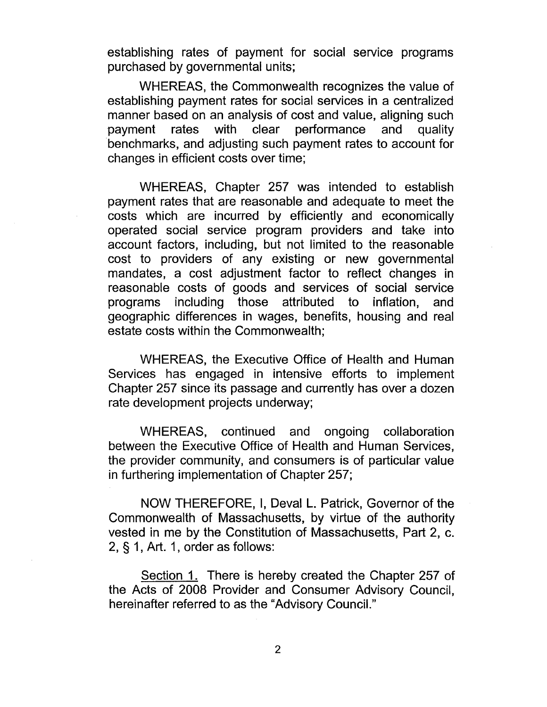establishing rates of payment for social service programs purchased by governmental units;

WHEREAS, the Commonwealth recognizes the value of establishing payment rates for social services in a centralized manner based on an analysis of cost and value, aligning such payment rates with clear performance and quality benchmarks, and adjusting such payment rates to account for changes in efficient costs over time;

WHEREAS, Chapter 257 was intended to establish payment rates that are reasonable and adequate to meet the costs which are incurred by efficiently and economically operated social service program providers and take into account factors, including, but not limited to the reasonable cost to providers of any existing or new governmental mandates, a cost adjustment factor to reflect changes in reasonable costs of goods and services of social service programs including those attributed to inflation, and geographic differences in wages, benefits, housing and real estate costs within the Commonwealth;

WHEREAS, the Executive Office of Health and Human Services has engaged in intensive efforts to implement Chapter 257 since its passage and currently has over a dozen rate development projects underway;

WHEREAS, continued and ongoing collaboration between the Executive Office of Health and Human Services, the provider community, and consumers is of particular value in furthering implementation of Chapter 257;

NOW THEREFORE, I, Deval L. Patrick, Governor of the Commonwealth of Massachusetts, by virtue of the authority vested in me by the Constitution of Massachusetts, Part 2, c. 2, § 1, Art. 1, order as follows:

Section 1. There is hereby created the Chapter 257 of the Acts of 2008 Provider and Consumer Advisory Council, hereinafter referred to as the "Advisory Council."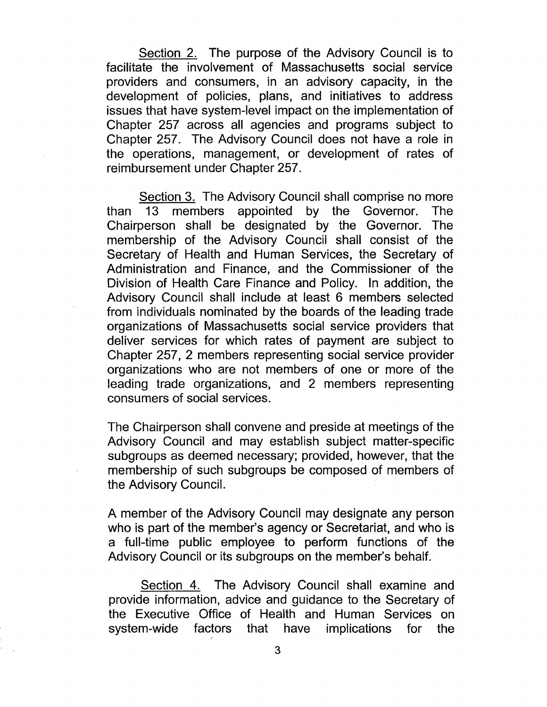Section 2. The purpose of the Advisory Council is to facilitate the involvement of Massachusetts social service providers and consumers, in an advisory capacity, in the development of policies, plans, and initiatives to address issues that have system-level impact on the implementation of Chapter 257 across all agencies and programs subject to Chapter 257. The Advisory Council does not have a role in the operations, management, or development of rates of reimbursement under Chapter 257.

Section 3. The Advisory Council shall comprise no more than 13 members appointed by the Governor. The Chairperson shall be designated by the Governor. The membership of the Advisory Council shall consist of the Secretary of Health and Human Services, the Secretary of Administration and Finance, and the Commissioner of the Division of Health Care Finance and Policy. In addition, the Advisory Council shall include at least 6 members selected from individuals nominated by the boards of the leading trade organizations of Massachusetts social service providers that deliver services for which rates of payment are subject to Chapter 257, 2 members representing social service provider organizations who are not members of one or more of the leading trade organizations, and 2 members representing consumers of social services.

The Chairperson shall convene and preside at meetings of the Advisory Council and may establish subject matter-specific subgroups as deemed necessary; provided, however, that the membership of such subgroups be composed of members of the Advisory Council.

A member of the Advisory Council may designate any person who is part of the member's agency or Secretariat, and who is a full-time public employee to perform functions of the Advisory Council or its subgroups on the member's behalf.

Section 4. The Advisory Council shall examine and provide information, advice and guidance to the Secretary of the Executive Office of Health and Human Services on system-wide factors that have implications for the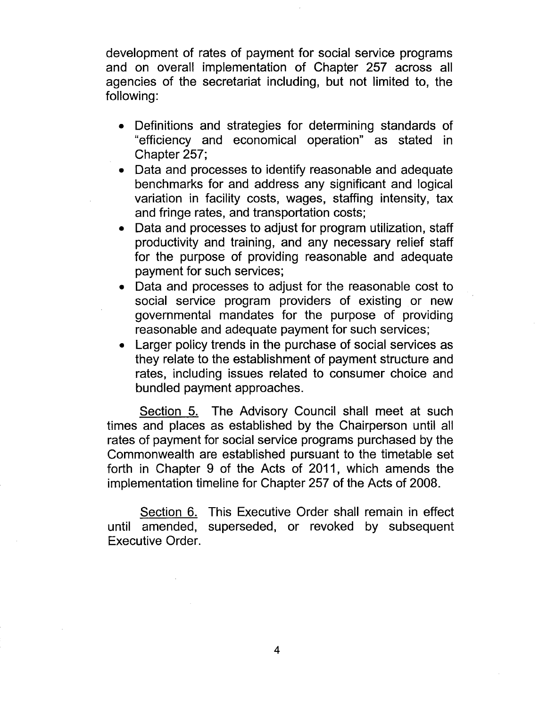development of rates of payment for social service programs and on overall implementation of Chapter 257 across all agencies of the secretariat including, but not limited to, the following:

- Definitions and strategies for determining standards of "efficiency and economical operation" as stated in Chapter 257;
- Data and processes to identify reasonable and adequate benchmarks for and address any significant and logical variation in facility costs, wages, staffing intensity, tax and fringe rates, and transportation costs;
- Data and processes to adjust for program utilization, staff productivity and training, and any necessary relief staff for the purpose of providing reasonable and adequate payment for such services;
- Data and processes to adjust for the reasonable cost to social service program providers of existing or new governmental mandates for the purpose of providing reasonable and adequate payment for such services;
- Larger policy trends in the purchase of social services as they relate to the establishment of payment structure and rates, including issues related to consumer choice and bundled payment approaches.

Section 5. The Advisory Council shall meet at such times and places as established by the Chairperson until all rates of payment for social service programs purchased by the Commonwealth are established pursuant to the timetable set forth in Chapter 9 of the Acts of 2011, which amends the implementation timeline for Chapter 257 of the Acts of 2008.

Section 6. This Executive Order shall remain in effect until amended, superseded, or revoked by subsequent Executive Order.